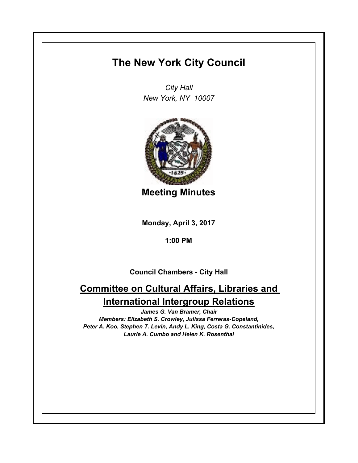## **The New York City Council**

*City Hall New York, NY 10007*



**Meeting Minutes**

**Monday, April 3, 2017**

**1:00 PM**

**Council Chambers - City Hall**

## **Committee on Cultural Affairs, Libraries and International Intergroup Relations**

*James G. Van Bramer, Chair Members: Elizabeth S. Crowley, Julissa Ferreras-Copeland, Peter A. Koo, Stephen T. Levin, Andy L. King, Costa G. Constantinides, Laurie A. Cumbo and Helen K. Rosenthal*